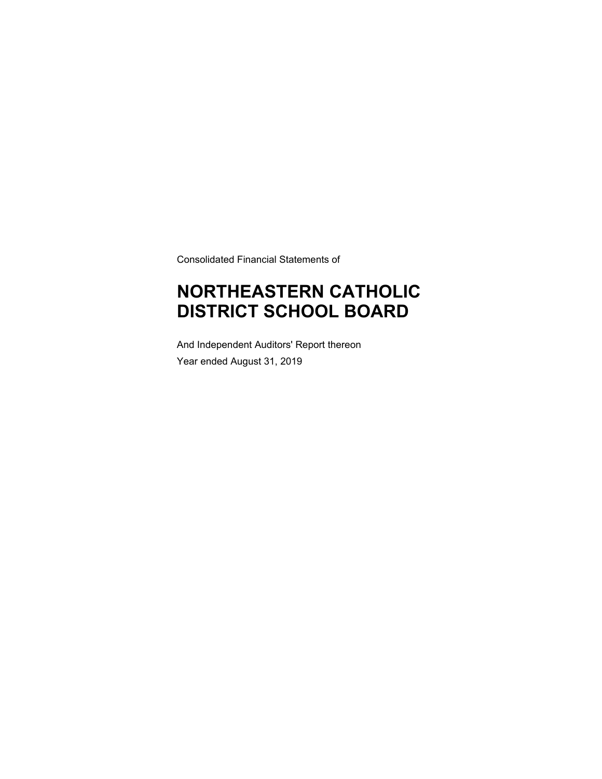Consolidated Financial Statements of

# **NORTHEASTERN CATHOLIC DISTRICT SCHOOL BOARD**

And Independent Auditors' Report thereon Year ended August 31, 2019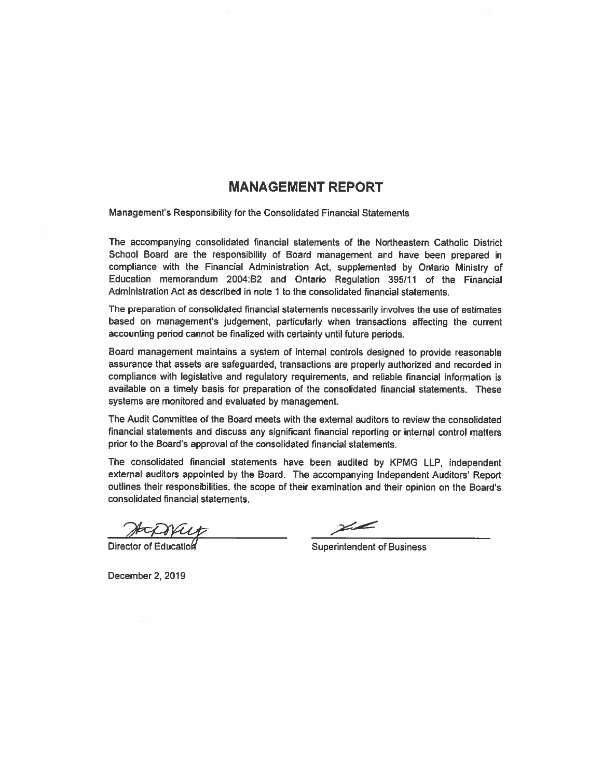# **MANAGEMENT REPORT**

Management's Responsibility for the Consolidated Financial Statements

The accompanying consolidated financial statements of the Northeastern Catholic District School Board are the responsibility of Board management and have been prepared in compliance with the Financial Administration Act, supplemented by Ontario Ministry of Education memorandum 2004:B2 and Ontario Regulation 395/11 of the Financial Administration Act as described in note 1 to the consolidated financial statements.

The preparation of consolidated financial statements necessarily involves the use of estimates based on management's judgement, particularly when transactions affecting the current accounting period cannot be finalized with certainty until future periods.

Board management maintains a system of internal controls designed to provide reasonable assurance that assets are safeguarded, transactions are properly authorized and recorded in compliance with legislative and regulatory requirements, and reliable financial information is available on a timely basis for preparation of the consolidated financial statements. These systems are monitored and evaluated by management.

The Audit Committee of the Board meets with the external auditors to review the consolidated financial statements and discuss any significant financial reporting or internal control matters prior to the Board's approval of the consolidated financial statements.

The consolidated financial statements have been audited by KPMG LLP, independent external auditors appointed by the Board. The accompanying Independent Auditors' Report outlines their responsibilities, the scope of their examination and their opinion on the Board's consolidated financial statements.

Director of Education

 $\boldsymbol{\varkappa}$ 

**Superintendent of Business** 

December 2, 2019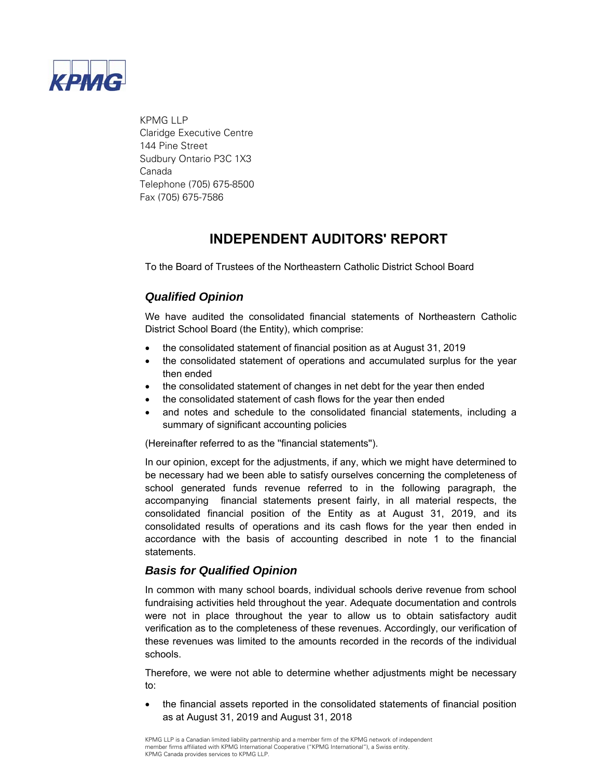

 KPMG LLP Claridge Executive Centre 144 Pine Street Sudbury Ontario P3C 1X3 Canada Telephone (705) 675-8500 Fax (705) 675-7586

# **INDEPENDENT AUDITORS' REPORT**

To the Board of Trustees of the Northeastern Catholic District School Board

# *Qualified Opinion*

We have audited the consolidated financial statements of Northeastern Catholic District School Board (the Entity), which comprise:

- the consolidated statement of financial position as at August 31, 2019
- the consolidated statement of operations and accumulated surplus for the year then ended
- the consolidated statement of changes in net debt for the year then ended
- the consolidated statement of cash flows for the year then ended
- and notes and schedule to the consolidated financial statements, including a summary of significant accounting policies

(Hereinafter referred to as the ''financial statements'').

In our opinion, except for the adjustments, if any, which we might have determined to be necessary had we been able to satisfy ourselves concerning the completeness of school generated funds revenue referred to in the following paragraph, the accompanying financial statements present fairly, in all material respects, the consolidated financial position of the Entity as at August 31, 2019, and its consolidated results of operations and its cash flows for the year then ended in accordance with the basis of accounting described in note 1 to the financial statements.

# *Basis for Qualified Opinion*

In common with many school boards, individual schools derive revenue from school fundraising activities held throughout the year. Adequate documentation and controls were not in place throughout the year to allow us to obtain satisfactory audit verification as to the completeness of these revenues. Accordingly, our verification of these revenues was limited to the amounts recorded in the records of the individual schools.

Therefore, we were not able to determine whether adjustments might be necessary to:

 the financial assets reported in the consolidated statements of financial position as at August 31, 2019 and August 31, 2018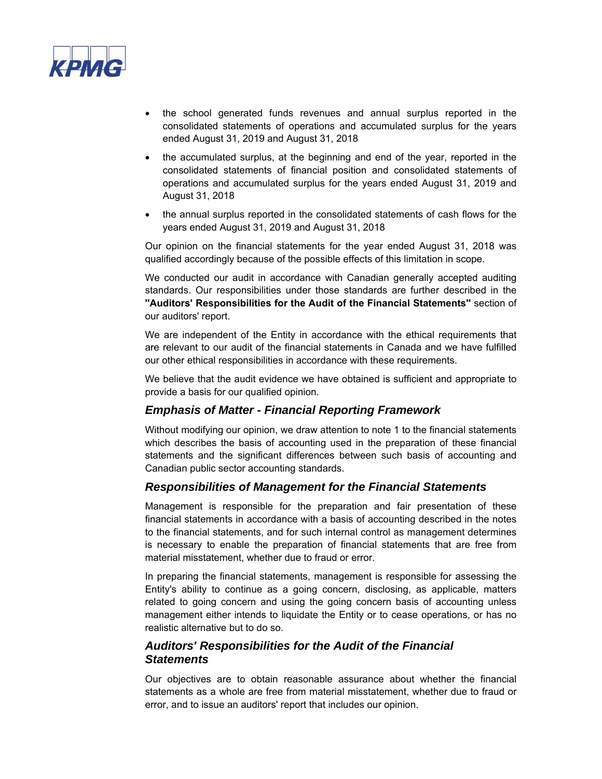

- the school generated funds revenues and annual surplus reported in the consolidated statements of operations and accumulated surplus for the years ended August 31, 2019 and August 31, 2018
- the accumulated surplus, at the beginning and end of the year, reported in the consolidated statements of financial position and consolidated statements of operations and accumulated surplus for the years ended August 31, 2019 and August 31, 2018
- the annual surplus reported in the consolidated statements of cash flows for the years ended August 31, 2019 and August 31, 2018

Our opinion on the financial statements for the year ended August 31, 2018 was qualified accordingly because of the possible effects of this limitation in scope.

We conducted our audit in accordance with Canadian generally accepted auditing standards. Our responsibilities under those standards are further described in the **''Auditors' Responsibilities for the Audit of the Financial Statements''** section of our auditors' report.

We are independent of the Entity in accordance with the ethical requirements that are relevant to our audit of the financial statements in Canada and we have fulfilled our other ethical responsibilities in accordance with these requirements.

We believe that the audit evidence we have obtained is sufficient and appropriate to provide a basis for our qualified opinion.

# *Emphasis of Matter - Financial Reporting Framework*

Without modifying our opinion, we draw attention to note 1 to the financial statements which describes the basis of accounting used in the preparation of these financial statements and the significant differences between such basis of accounting and Canadian public sector accounting standards.

# *Responsibilities of Management for the Financial Statements*

Management is responsible for the preparation and fair presentation of these financial statements in accordance with a basis of accounting described in the notes to the financial statements, and for such internal control as management determines is necessary to enable the preparation of financial statements that are free from material misstatement, whether due to fraud or error.

In preparing the financial statements, management is responsible for assessing the Entity's ability to continue as a going concern, disclosing, as applicable, matters related to going concern and using the going concern basis of accounting unless management either intends to liquidate the Entity or to cease operations, or has no realistic alternative but to do so.

# *Auditors' Responsibilities for the Audit of the Financial Statements*

Our objectives are to obtain reasonable assurance about whether the financial statements as a whole are free from material misstatement, whether due to fraud or error, and to issue an auditors' report that includes our opinion.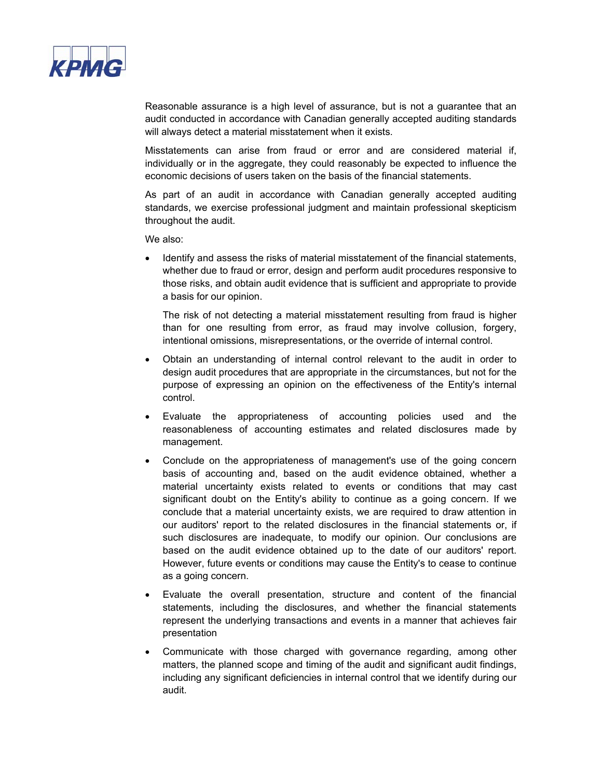

Reasonable assurance is a high level of assurance, but is not a guarantee that an audit conducted in accordance with Canadian generally accepted auditing standards will always detect a material misstatement when it exists.

Misstatements can arise from fraud or error and are considered material if, individually or in the aggregate, they could reasonably be expected to influence the economic decisions of users taken on the basis of the financial statements.

As part of an audit in accordance with Canadian generally accepted auditing standards, we exercise professional judgment and maintain professional skepticism throughout the audit.

We also:

 Identify and assess the risks of material misstatement of the financial statements, whether due to fraud or error, design and perform audit procedures responsive to those risks, and obtain audit evidence that is sufficient and appropriate to provide a basis for our opinion.

The risk of not detecting a material misstatement resulting from fraud is higher than for one resulting from error, as fraud may involve collusion, forgery, intentional omissions, misrepresentations, or the override of internal control.

- Obtain an understanding of internal control relevant to the audit in order to design audit procedures that are appropriate in the circumstances, but not for the purpose of expressing an opinion on the effectiveness of the Entity's internal control.
- Evaluate the appropriateness of accounting policies used and the reasonableness of accounting estimates and related disclosures made by management.
- Conclude on the appropriateness of management's use of the going concern basis of accounting and, based on the audit evidence obtained, whether a material uncertainty exists related to events or conditions that may cast significant doubt on the Entity's ability to continue as a going concern. If we conclude that a material uncertainty exists, we are required to draw attention in our auditors' report to the related disclosures in the financial statements or, if such disclosures are inadequate, to modify our opinion. Our conclusions are based on the audit evidence obtained up to the date of our auditors' report. However, future events or conditions may cause the Entity's to cease to continue as a going concern.
- Evaluate the overall presentation, structure and content of the financial statements, including the disclosures, and whether the financial statements represent the underlying transactions and events in a manner that achieves fair presentation
- Communicate with those charged with governance regarding, among other matters, the planned scope and timing of the audit and significant audit findings, including any significant deficiencies in internal control that we identify during our audit.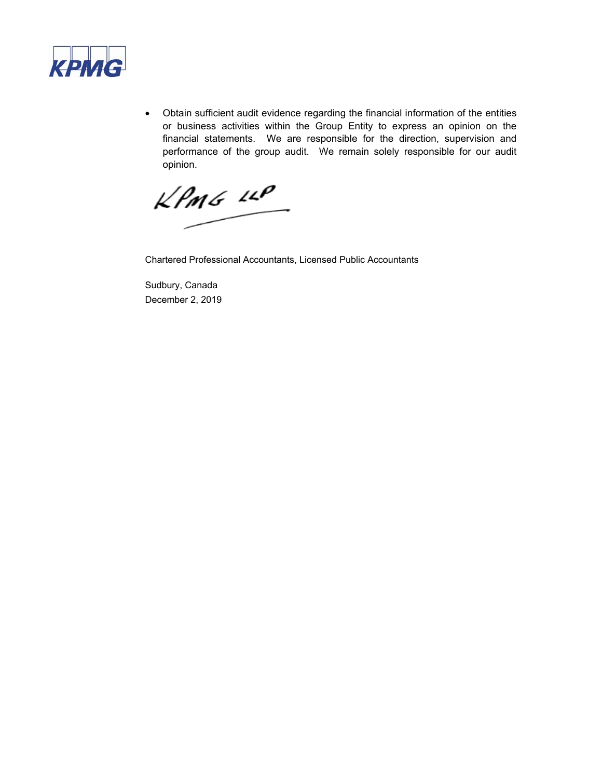

 Obtain sufficient audit evidence regarding the financial information of the entities or business activities within the Group Entity to express an opinion on the financial statements. We are responsible for the direction, supervision and performance of the group audit. We remain solely responsible for our audit opinion.

 $KPMG$  14P

Chartered Professional Accountants, Licensed Public Accountants

Sudbury, Canada December 2, 2019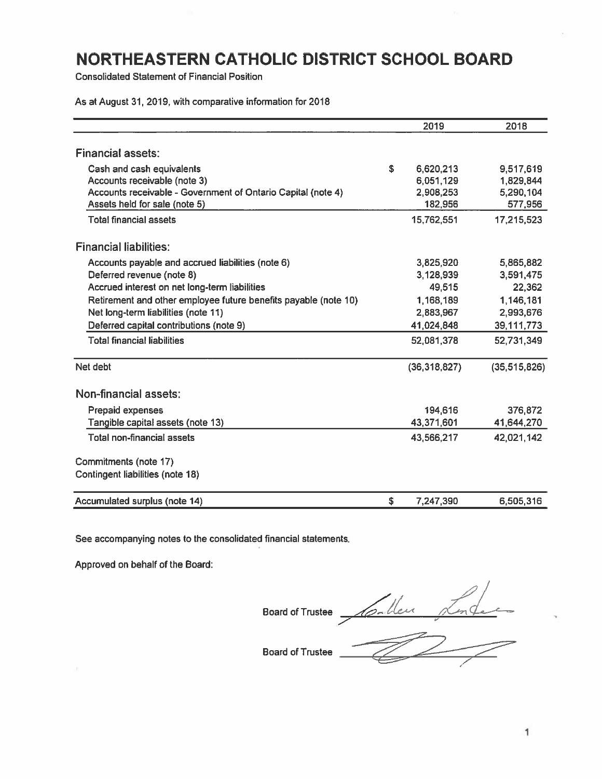**Consolidated Statement of Financial Position** 

As at August 31, 2019, with comparative information for 2018

|                                                                 | 2019            | 2018           |
|-----------------------------------------------------------------|-----------------|----------------|
|                                                                 |                 |                |
| <b>Financial assets:</b>                                        |                 |                |
| Cash and cash equivalents                                       | \$<br>6,620,213 | 9,517,619      |
| Accounts receivable (note 3)                                    | 6,051,129       | 1,829,844      |
| Accounts receivable - Government of Ontario Capital (note 4)    | 2,908,253       | 5,290,104      |
| Assets held for sale (note 5)                                   | 182,956         | 577,956        |
| <b>Total financial assets</b>                                   | 15,762,551      | 17,215,523     |
| <b>Financial liabilities:</b>                                   |                 |                |
| Accounts payable and accrued liabilities (note 6)               | 3,825,920       | 5,865,882      |
| Deferred revenue (note 8)                                       | 3,128,939       | 3,591,475      |
| Accrued interest on net long-term liabilities                   | 49,515          | 22,362         |
| Retirement and other employee future benefits payable (note 10) | 1,168,189       | 1,146,181      |
| Net long-term liabilities (note 11)                             | 2,883,967       | 2,993,676      |
| Deferred capital contributions (note 9)                         | 41,024,848      | 39, 111, 773   |
| <b>Total financial liabilities</b>                              | 52,081,378      | 52,731,349     |
| Net debt                                                        | (36, 318, 827)  | (35, 515, 826) |
| Non-financial assets:                                           |                 |                |
| <b>Prepaid expenses</b>                                         | 194,616         | 376,872        |
| Tangible capital assets (note 13)                               | 43,371,601      | 41,644,270     |
| <b>Total non-financial assets</b>                               | 43,566,217      | 42,021,142     |
| Commitments (note 17)                                           |                 |                |
| Contingent liabilities (note 18)                                |                 |                |
| Accumulated surplus (note 14)                                   | \$<br>7,247,390 | 6,505,316      |

See accompanying notes to the consolidated financial statements.

Approved on behalf of the Board:

Coller Lordes **Board of Trustee Board of Trustee**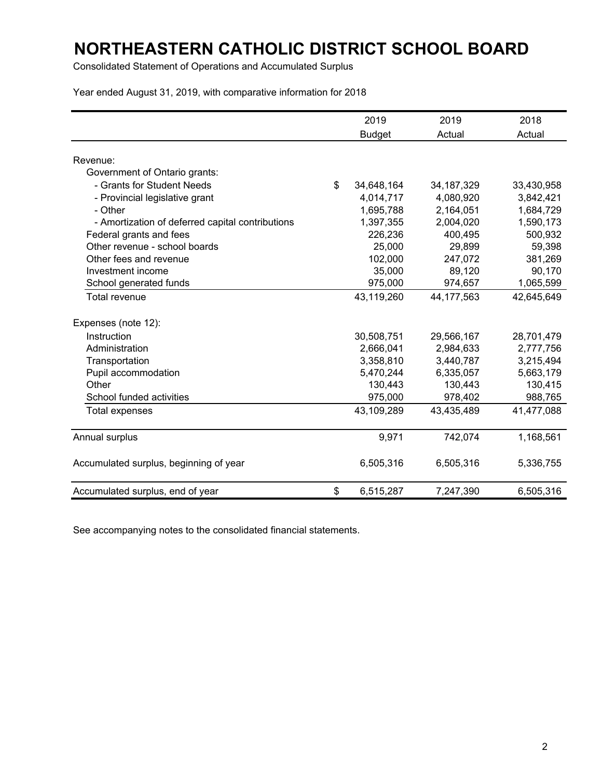Consolidated Statement of Operations and Accumulated Surplus

Year ended August 31, 2019, with comparative information for 2018

|                                                  | 2019             | 2019         | 2018       |
|--------------------------------------------------|------------------|--------------|------------|
|                                                  | <b>Budget</b>    | Actual       | Actual     |
|                                                  |                  |              |            |
| Revenue:                                         |                  |              |            |
| Government of Ontario grants:                    |                  |              |            |
| - Grants for Student Needs                       | \$<br>34,648,164 | 34, 187, 329 | 33,430,958 |
| - Provincial legislative grant                   | 4,014,717        | 4,080,920    | 3,842,421  |
| - Other                                          | 1,695,788        | 2,164,051    | 1,684,729  |
| - Amortization of deferred capital contributions | 1,397,355        | 2,004,020    | 1,590,173  |
| Federal grants and fees                          | 226,236          | 400,495      | 500,932    |
| Other revenue - school boards                    | 25,000           | 29,899       | 59,398     |
| Other fees and revenue                           | 102,000          | 247,072      | 381,269    |
| Investment income                                | 35,000           | 89,120       | 90,170     |
| School generated funds                           | 975,000          | 974,657      | 1,065,599  |
| Total revenue                                    | 43,119,260       | 44, 177, 563 | 42,645,649 |
| Expenses (note 12):                              |                  |              |            |
| Instruction                                      | 30,508,751       | 29,566,167   | 28,701,479 |
| Administration                                   | 2,666,041        | 2,984,633    | 2,777,756  |
| Transportation                                   | 3,358,810        | 3,440,787    | 3,215,494  |
| Pupil accommodation                              | 5,470,244        | 6,335,057    | 5,663,179  |
| Other                                            | 130,443          | 130,443      | 130,415    |
| School funded activities                         | 975,000          | 978,402      | 988,765    |
| Total expenses                                   | 43,109,289       | 43,435,489   | 41,477,088 |
| Annual surplus                                   | 9,971            | 742,074      | 1,168,561  |
| Accumulated surplus, beginning of year           | 6,505,316        | 6,505,316    | 5,336,755  |
| Accumulated surplus, end of year                 | \$<br>6,515,287  | 7,247,390    | 6,505,316  |

See accompanying notes to the consolidated financial statements.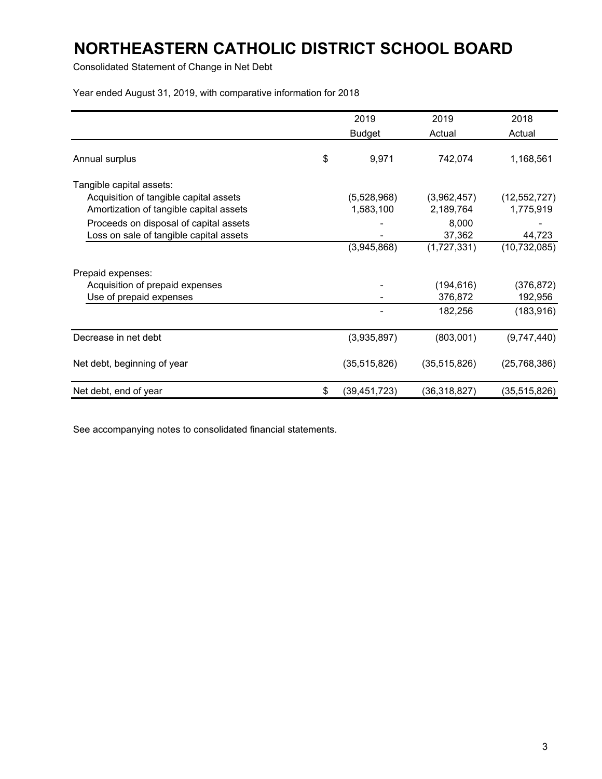Consolidated Statement of Change in Net Debt

Year ended August 31, 2019, with comparative information for 2018

|                                         | 2019                 | 2019         | 2018           |
|-----------------------------------------|----------------------|--------------|----------------|
|                                         | Budget               | Actual       | Actual         |
| Annual surplus                          | \$<br>9,971          | 742,074      | 1,168,561      |
| Tangible capital assets:                |                      |              |                |
| Acquisition of tangible capital assets  | (5,528,968)          | (3,962,457)  | (12, 552, 727) |
| Amortization of tangible capital assets | 1,583,100            | 2,189,764    | 1,775,919      |
| Proceeds on disposal of capital assets  |                      | 8,000        |                |
| Loss on sale of tangible capital assets |                      | 37,362       | 44,723         |
|                                         | (3,945,868)          | (1,727,331)  | (10, 732, 085) |
| Prepaid expenses:                       |                      |              |                |
| Acquisition of prepaid expenses         |                      | (194, 616)   | (376, 872)     |
| Use of prepaid expenses                 |                      | 376,872      | 192,956        |
|                                         |                      | 182,256      | (183, 916)     |
| Decrease in net debt                    | (3,935,897)          | (803,001)    | (9,747,440)    |
| Net debt, beginning of year             | (35, 515, 826)       | (35,515,826) | (25, 768, 386) |
| Net debt, end of year                   | \$<br>(39, 451, 723) | (36,318,827) | (35, 515, 826) |

See accompanying notes to consolidated financial statements.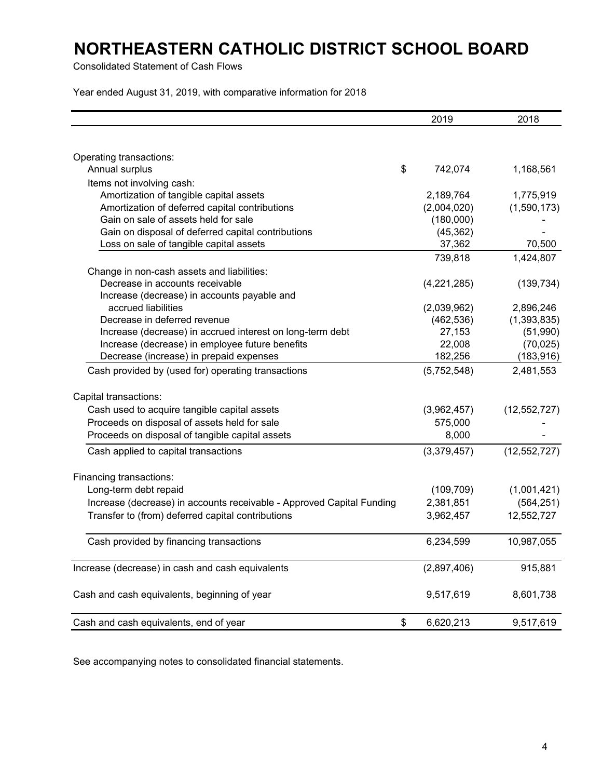Consolidated Statement of Cash Flows

Year ended August 31, 2019, with comparative information for 2018

|                                                                       | 2019        | 2018           |
|-----------------------------------------------------------------------|-------------|----------------|
|                                                                       |             |                |
| Operating transactions:                                               |             |                |
| \$<br>Annual surplus                                                  | 742,074     | 1,168,561      |
| Items not involving cash:                                             |             |                |
| Amortization of tangible capital assets                               | 2,189,764   | 1,775,919      |
| Amortization of deferred capital contributions                        | (2,004,020) | (1,590,173)    |
| Gain on sale of assets held for sale                                  | (180,000)   |                |
| Gain on disposal of deferred capital contributions                    | (45, 362)   |                |
| Loss on sale of tangible capital assets                               | 37,362      | 70,500         |
|                                                                       | 739,818     | 1,424,807      |
| Change in non-cash assets and liabilities:                            |             |                |
| Decrease in accounts receivable                                       | (4,221,285) | (139, 734)     |
| Increase (decrease) in accounts payable and                           |             |                |
| accrued liabilities                                                   | (2,039,962) | 2,896,246      |
| Decrease in deferred revenue                                          | (462, 536)  | (1, 393, 835)  |
| Increase (decrease) in accrued interest on long-term debt             | 27,153      | (51,990)       |
| Increase (decrease) in employee future benefits                       | 22,008      | (70, 025)      |
| Decrease (increase) in prepaid expenses                               | 182,256     | (183, 916)     |
| Cash provided by (used for) operating transactions                    | (5,752,548) | 2,481,553      |
| Capital transactions:                                                 |             |                |
| Cash used to acquire tangible capital assets                          | (3,962,457) | (12, 552, 727) |
| Proceeds on disposal of assets held for sale                          | 575,000     |                |
| Proceeds on disposal of tangible capital assets                       | 8,000       |                |
| Cash applied to capital transactions                                  | (3,379,457) | (12, 552, 727) |
| Financing transactions:                                               |             |                |
| Long-term debt repaid                                                 | (109, 709)  | (1,001,421)    |
| Increase (decrease) in accounts receivable - Approved Capital Funding | 2,381,851   | (564, 251)     |
| Transfer to (from) deferred capital contributions                     | 3,962,457   | 12,552,727     |
| Cash provided by financing transactions                               | 6,234,599   | 10,987,055     |
|                                                                       |             |                |
| Increase (decrease) in cash and cash equivalents                      | (2,897,406) | 915,881        |
| Cash and cash equivalents, beginning of year                          | 9,517,619   | 8,601,738      |
| \$<br>Cash and cash equivalents, end of year                          | 6,620,213   | 9,517,619      |

See accompanying notes to consolidated financial statements.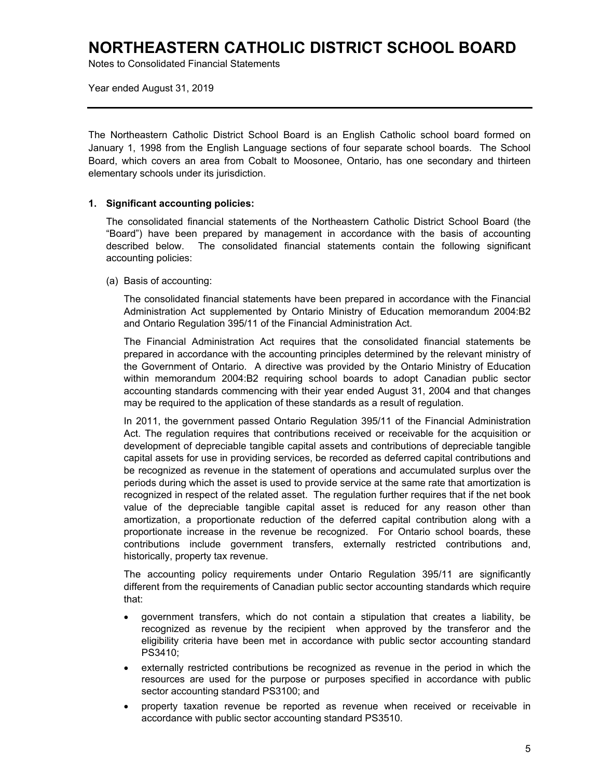Notes to Consolidated Financial Statements

Year ended August 31, 2019

The Northeastern Catholic District School Board is an English Catholic school board formed on January 1, 1998 from the English Language sections of four separate school boards. The School Board, which covers an area from Cobalt to Moosonee, Ontario, has one secondary and thirteen elementary schools under its jurisdiction.

### **1. Significant accounting policies:**

The consolidated financial statements of the Northeastern Catholic District School Board (the "Board") have been prepared by management in accordance with the basis of accounting described below. The consolidated financial statements contain the following significant accounting policies:

### (a) Basis of accounting:

The consolidated financial statements have been prepared in accordance with the Financial Administration Act supplemented by Ontario Ministry of Education memorandum 2004:B2 and Ontario Regulation 395/11 of the Financial Administration Act.

The Financial Administration Act requires that the consolidated financial statements be prepared in accordance with the accounting principles determined by the relevant ministry of the Government of Ontario. A directive was provided by the Ontario Ministry of Education within memorandum 2004:B2 requiring school boards to adopt Canadian public sector accounting standards commencing with their year ended August 31, 2004 and that changes may be required to the application of these standards as a result of regulation.

In 2011, the government passed Ontario Regulation 395/11 of the Financial Administration Act. The regulation requires that contributions received or receivable for the acquisition or development of depreciable tangible capital assets and contributions of depreciable tangible capital assets for use in providing services, be recorded as deferred capital contributions and be recognized as revenue in the statement of operations and accumulated surplus over the periods during which the asset is used to provide service at the same rate that amortization is recognized in respect of the related asset. The regulation further requires that if the net book value of the depreciable tangible capital asset is reduced for any reason other than amortization, a proportionate reduction of the deferred capital contribution along with a proportionate increase in the revenue be recognized. For Ontario school boards, these contributions include government transfers, externally restricted contributions and, historically, property tax revenue.

The accounting policy requirements under Ontario Regulation 395/11 are significantly different from the requirements of Canadian public sector accounting standards which require that:

- government transfers, which do not contain a stipulation that creates a liability, be recognized as revenue by the recipient when approved by the transferor and the eligibility criteria have been met in accordance with public sector accounting standard PS3410;
- externally restricted contributions be recognized as revenue in the period in which the resources are used for the purpose or purposes specified in accordance with public sector accounting standard PS3100; and
- property taxation revenue be reported as revenue when received or receivable in accordance with public sector accounting standard PS3510.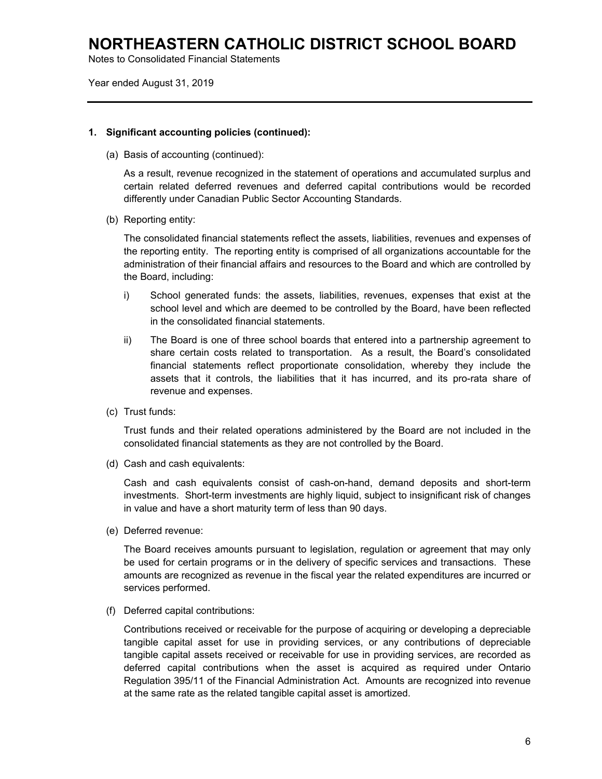Notes to Consolidated Financial Statements

Year ended August 31, 2019

### **1. Significant accounting policies (continued):**

(a) Basis of accounting (continued):

As a result, revenue recognized in the statement of operations and accumulated surplus and certain related deferred revenues and deferred capital contributions would be recorded differently under Canadian Public Sector Accounting Standards.

(b) Reporting entity:

The consolidated financial statements reflect the assets, liabilities, revenues and expenses of the reporting entity. The reporting entity is comprised of all organizations accountable for the administration of their financial affairs and resources to the Board and which are controlled by the Board, including:

- i) School generated funds: the assets, liabilities, revenues, expenses that exist at the school level and which are deemed to be controlled by the Board, have been reflected in the consolidated financial statements.
- ii) The Board is one of three school boards that entered into a partnership agreement to share certain costs related to transportation. As a result, the Board's consolidated financial statements reflect proportionate consolidation, whereby they include the assets that it controls, the liabilities that it has incurred, and its pro-rata share of revenue and expenses.
- (c) Trust funds:

Trust funds and their related operations administered by the Board are not included in the consolidated financial statements as they are not controlled by the Board.

(d) Cash and cash equivalents:

Cash and cash equivalents consist of cash-on-hand, demand deposits and short-term investments. Short-term investments are highly liquid, subject to insignificant risk of changes in value and have a short maturity term of less than 90 days.

(e) Deferred revenue:

The Board receives amounts pursuant to legislation, regulation or agreement that may only be used for certain programs or in the delivery of specific services and transactions. These amounts are recognized as revenue in the fiscal year the related expenditures are incurred or services performed.

(f) Deferred capital contributions:

Contributions received or receivable for the purpose of acquiring or developing a depreciable tangible capital asset for use in providing services, or any contributions of depreciable tangible capital assets received or receivable for use in providing services, are recorded as deferred capital contributions when the asset is acquired as required under Ontario Regulation 395/11 of the Financial Administration Act. Amounts are recognized into revenue at the same rate as the related tangible capital asset is amortized.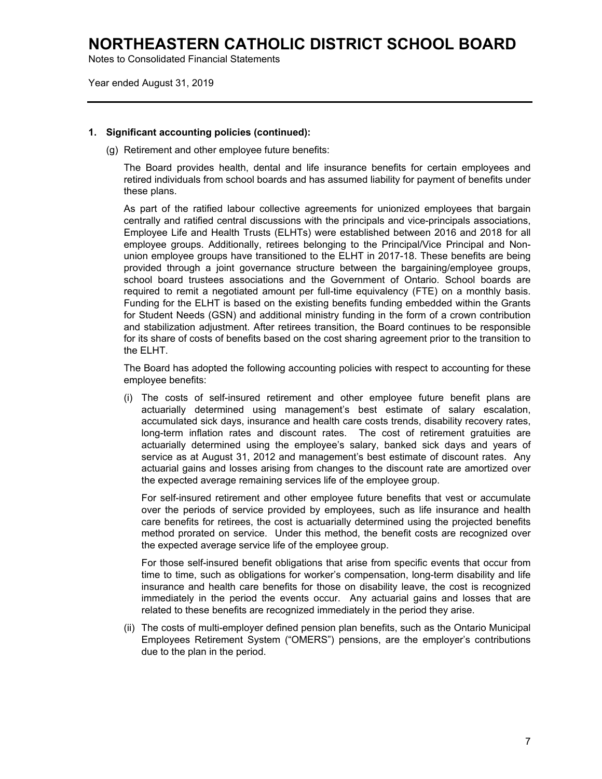Notes to Consolidated Financial Statements

Year ended August 31, 2019

#### **1. Significant accounting policies (continued):**

(g) Retirement and other employee future benefits:

The Board provides health, dental and life insurance benefits for certain employees and retired individuals from school boards and has assumed liability for payment of benefits under these plans.

As part of the ratified labour collective agreements for unionized employees that bargain centrally and ratified central discussions with the principals and vice-principals associations, Employee Life and Health Trusts (ELHTs) were established between 2016 and 2018 for all employee groups. Additionally, retirees belonging to the Principal/Vice Principal and Nonunion employee groups have transitioned to the ELHT in 2017-18. These benefits are being provided through a joint governance structure between the bargaining/employee groups, school board trustees associations and the Government of Ontario. School boards are required to remit a negotiated amount per full-time equivalency (FTE) on a monthly basis. Funding for the ELHT is based on the existing benefits funding embedded within the Grants for Student Needs (GSN) and additional ministry funding in the form of a crown contribution and stabilization adjustment. After retirees transition, the Board continues to be responsible for its share of costs of benefits based on the cost sharing agreement prior to the transition to the ELHT.

The Board has adopted the following accounting policies with respect to accounting for these employee benefits:

(i) The costs of self-insured retirement and other employee future benefit plans are actuarially determined using management's best estimate of salary escalation, accumulated sick days, insurance and health care costs trends, disability recovery rates, long-term inflation rates and discount rates. The cost of retirement gratuities are actuarially determined using the employee's salary, banked sick days and years of service as at August 31, 2012 and management's best estimate of discount rates. Any actuarial gains and losses arising from changes to the discount rate are amortized over the expected average remaining services life of the employee group.

For self-insured retirement and other employee future benefits that vest or accumulate over the periods of service provided by employees, such as life insurance and health care benefits for retirees, the cost is actuarially determined using the projected benefits method prorated on service. Under this method, the benefit costs are recognized over the expected average service life of the employee group.

For those self-insured benefit obligations that arise from specific events that occur from time to time, such as obligations for worker's compensation, long-term disability and life insurance and health care benefits for those on disability leave, the cost is recognized immediately in the period the events occur. Any actuarial gains and losses that are related to these benefits are recognized immediately in the period they arise.

(ii) The costs of multi-employer defined pension plan benefits, such as the Ontario Municipal Employees Retirement System ("OMERS") pensions, are the employer's contributions due to the plan in the period.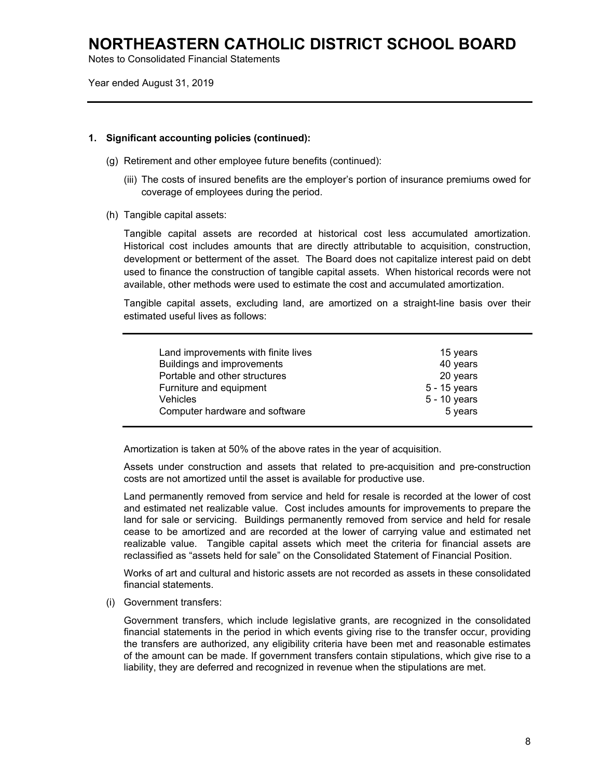Notes to Consolidated Financial Statements

Year ended August 31, 2019

### **1. Significant accounting policies (continued):**

- (g) Retirement and other employee future benefits (continued):
	- (iii) The costs of insured benefits are the employer's portion of insurance premiums owed for coverage of employees during the period.
- (h) Tangible capital assets:

Tangible capital assets are recorded at historical cost less accumulated amortization. Historical cost includes amounts that are directly attributable to acquisition, construction, development or betterment of the asset. The Board does not capitalize interest paid on debt used to finance the construction of tangible capital assets. When historical records were not available, other methods were used to estimate the cost and accumulated amortization.

Tangible capital assets, excluding land, are amortized on a straight-line basis over their estimated useful lives as follows:

| Land improvements with finite lives | 15 years       |
|-------------------------------------|----------------|
| Buildings and improvements          | 40 years       |
| Portable and other structures       | 20 years       |
| Furniture and equipment             | 5 - 15 years   |
| <b>Vehicles</b>                     | $5 - 10$ years |
| Computer hardware and software      | 5 years        |

Amortization is taken at 50% of the above rates in the year of acquisition.

Assets under construction and assets that related to pre-acquisition and pre-construction costs are not amortized until the asset is available for productive use.

Land permanently removed from service and held for resale is recorded at the lower of cost and estimated net realizable value. Cost includes amounts for improvements to prepare the land for sale or servicing. Buildings permanently removed from service and held for resale cease to be amortized and are recorded at the lower of carrying value and estimated net realizable value. Tangible capital assets which meet the criteria for financial assets are reclassified as "assets held for sale" on the Consolidated Statement of Financial Position.

Works of art and cultural and historic assets are not recorded as assets in these consolidated financial statements.

(i) Government transfers:

Government transfers, which include legislative grants, are recognized in the consolidated financial statements in the period in which events giving rise to the transfer occur, providing the transfers are authorized, any eligibility criteria have been met and reasonable estimates of the amount can be made. If government transfers contain stipulations, which give rise to a liability, they are deferred and recognized in revenue when the stipulations are met.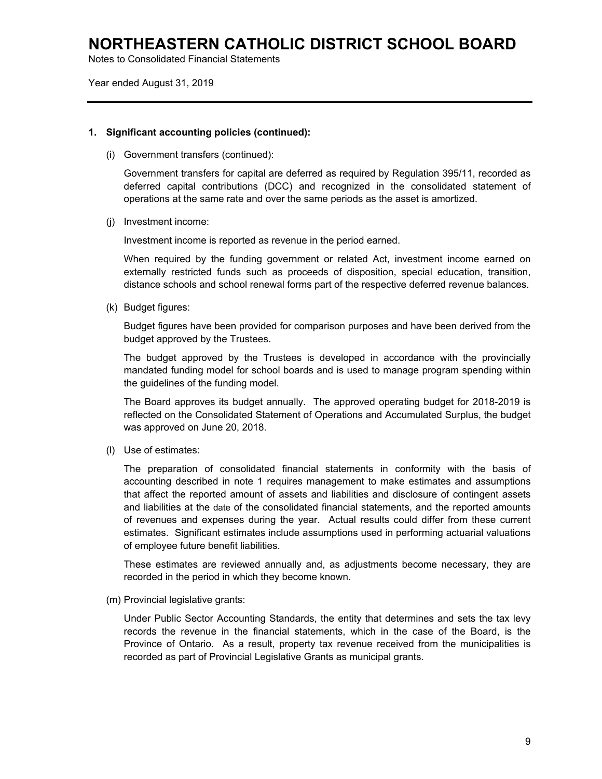Notes to Consolidated Financial Statements

Year ended August 31, 2019

### **1. Significant accounting policies (continued):**

(i) Government transfers (continued):

Government transfers for capital are deferred as required by Regulation 395/11, recorded as deferred capital contributions (DCC) and recognized in the consolidated statement of operations at the same rate and over the same periods as the asset is amortized.

(j) Investment income:

Investment income is reported as revenue in the period earned.

When required by the funding government or related Act, investment income earned on externally restricted funds such as proceeds of disposition, special education, transition, distance schools and school renewal forms part of the respective deferred revenue balances.

(k) Budget figures:

Budget figures have been provided for comparison purposes and have been derived from the budget approved by the Trustees.

The budget approved by the Trustees is developed in accordance with the provincially mandated funding model for school boards and is used to manage program spending within the guidelines of the funding model.

The Board approves its budget annually. The approved operating budget for 2018-2019 is reflected on the Consolidated Statement of Operations and Accumulated Surplus, the budget was approved on June 20, 2018.

(l) Use of estimates:

The preparation of consolidated financial statements in conformity with the basis of accounting described in note 1 requires management to make estimates and assumptions that affect the reported amount of assets and liabilities and disclosure of contingent assets and liabilities at the date of the consolidated financial statements, and the reported amounts of revenues and expenses during the year. Actual results could differ from these current estimates. Significant estimates include assumptions used in performing actuarial valuations of employee future benefit liabilities.

These estimates are reviewed annually and, as adjustments become necessary, they are recorded in the period in which they become known.

(m) Provincial legislative grants:

Under Public Sector Accounting Standards, the entity that determines and sets the tax levy records the revenue in the financial statements, which in the case of the Board, is the Province of Ontario. As a result, property tax revenue received from the municipalities is recorded as part of Provincial Legislative Grants as municipal grants.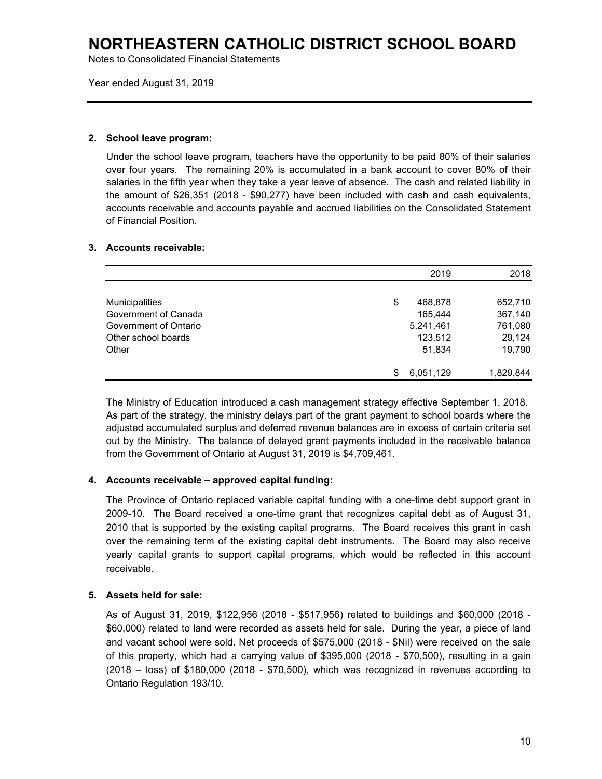Notes to Consolidated Financial Statements

Year ended August 31, 2019

### **2. School leave program:**

Under the school leave program, teachers have the opportunity to be paid 80% of their salaries over four years. The remaining 20% is accumulated in a bank account to cover 80% of their salaries in the fifth year when they take a year leave of absence. The cash and related liability in the amount of \$26,351 (2018 - \$90,277) have been included with cash and cash equivalents, accounts receivable and accounts payable and accrued liabilities on the Consolidated Statement of Financial Position.

### **3. Accounts receivable:**

|                       | 2019           | 2018      |
|-----------------------|----------------|-----------|
|                       |                |           |
| Municipalities        | \$<br>468,878  | 652,710   |
| Government of Canada  | 165,444        | 367,140   |
| Government of Ontario | 5,241,461      | 761,080   |
| Other school boards   | 123,512        | 29,124    |
| Other                 | 51,834         | 19,790    |
|                       | 6,051,129<br>S | 1,829,844 |

The Ministry of Education introduced a cash management strategy effective September 1, 2018. As part of the strategy, the ministry delays part of the grant payment to school boards where the adjusted accumulated surplus and deferred revenue balances are in excess of certain criteria set out by the Ministry. The balance of delayed grant payments included in the receivable balance from the Government of Ontario at August 31, 2019 is \$4,709,461.

## **4. Accounts receivable – approved capital funding:**

The Province of Ontario replaced variable capital funding with a one-time debt support grant in 2009-10. The Board received a one-time grant that recognizes capital debt as of August 31, 2010 that is supported by the existing capital programs. The Board receives this grant in cash over the remaining term of the existing capital debt instruments. The Board may also receive yearly capital grants to support capital programs, which would be reflected in this account receivable.

## **5. Assets held for sale:**

As of August 31, 2019, \$122,956 (2018 - \$517,956) related to buildings and \$60,000 (2018 - \$60,000) related to land were recorded as assets held for sale. During the year, a piece of land and vacant school were sold. Net proceeds of \$575,000 (2018 - \$Nil) were received on the sale of this property, which had a carrying value of \$395,000 (2018 - \$70,500), resulting in a gain (2018 – loss) of \$180,000 (2018 - \$70,500), which was recognized in revenues according to Ontario Regulation 193/10.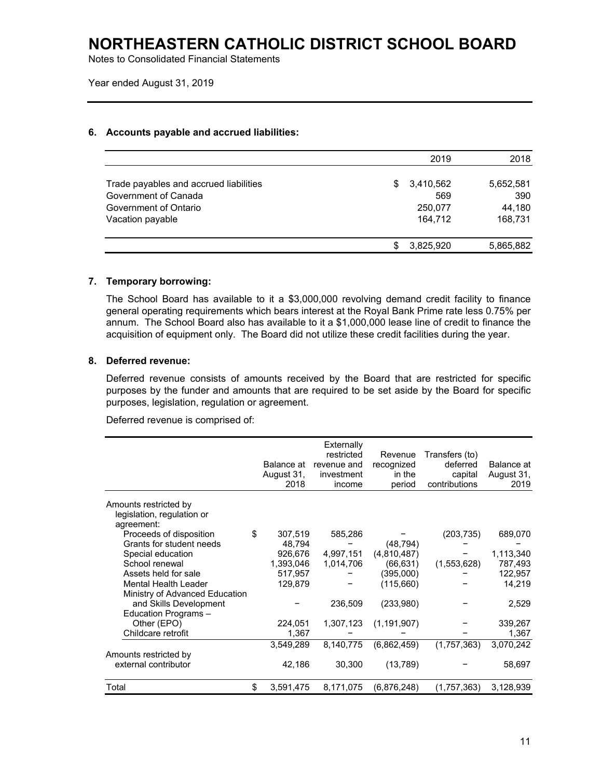Notes to Consolidated Financial Statements

Year ended August 31, 2019

### **6. Accounts payable and accrued liabilities:**

|                                        |     | 2019      | 2018      |
|----------------------------------------|-----|-----------|-----------|
| Trade payables and accrued liabilities | S.  | 3,410,562 | 5,652,581 |
| Government of Canada                   |     | 569       | 390       |
| Government of Ontario                  |     | 250,077   | 44,180    |
| Vacation payable                       |     | 164.712   | 168,731   |
|                                        | \$. | 3,825,920 | 5,865,882 |
|                                        |     |           |           |

## **7. Temporary borrowing:**

The School Board has available to it a \$3,000,000 revolving demand credit facility to finance general operating requirements which bears interest at the Royal Bank Prime rate less 0.75% per annum. The School Board also has available to it a \$1,000,000 lease line of credit to finance the acquisition of equipment only. The Board did not utilize these credit facilities during the year.

### **8. Deferred revenue:**

Deferred revenue consists of amounts received by the Board that are restricted for specific purposes by the funder and amounts that are required to be set aside by the Board for specific purposes, legislation, regulation or agreement.

Deferred revenue is comprised of:

|                                                                   | Balance at<br>August 31,<br>2018 | Externally<br>restricted<br>revenue and<br>investment<br>income | Revenue<br>recognized<br>in the<br>period | Transfers (to)<br>deferred<br>capital<br>contributions | Balance at<br>August 31,<br>2019 |
|-------------------------------------------------------------------|----------------------------------|-----------------------------------------------------------------|-------------------------------------------|--------------------------------------------------------|----------------------------------|
| Amounts restricted by<br>legislation, regulation or<br>agreement: |                                  |                                                                 |                                           |                                                        |                                  |
| Proceeds of disposition                                           | \$<br>307,519                    | 585,286                                                         |                                           | (203, 735)                                             | 689,070                          |
| Grants for student needs                                          | 48,794                           |                                                                 | (48, 794)                                 |                                                        |                                  |
| Special education                                                 | 926,676                          | 4,997,151                                                       | (4,810,487)                               |                                                        | 1,113,340                        |
| School renewal                                                    | 1,393,046                        | 1,014,706                                                       | (66, 631)                                 | (1,553,628)                                            | 787,493                          |
| Assets held for sale                                              | 517,957                          |                                                                 | (395,000)                                 |                                                        | 122,957                          |
| <b>Mental Health Leader</b>                                       | 129,879                          |                                                                 | (115,660)                                 |                                                        | 14,219                           |
| Ministry of Advanced Education                                    |                                  |                                                                 |                                           |                                                        |                                  |
| and Skills Development                                            |                                  | 236,509                                                         | (233,980)                                 |                                                        | 2,529                            |
| Education Programs -                                              |                                  |                                                                 |                                           |                                                        |                                  |
| Other (EPO)                                                       | 224,051                          | 1,307,123                                                       | (1, 191, 907)                             |                                                        | 339,267                          |
| Childcare retrofit                                                | 1,367                            |                                                                 |                                           |                                                        | 1,367                            |
|                                                                   | 3,549,289                        | 8,140,775                                                       | (6,862,459)                               | (1,757,363)                                            | 3,070,242                        |
| Amounts restricted by                                             |                                  |                                                                 |                                           |                                                        |                                  |
| external contributor                                              | 42,186                           | 30,300                                                          | (13, 789)                                 |                                                        | 58,697                           |
| Total                                                             | \$<br>3,591,475                  | 8,171,075                                                       | (6,876,248)                               | (1,757,363)                                            | 3,128,939                        |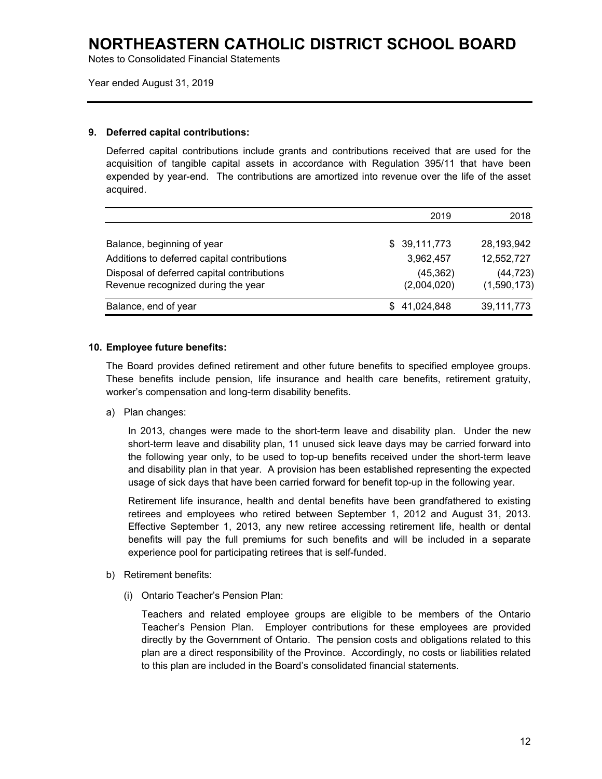Notes to Consolidated Financial Statements

Year ended August 31, 2019

#### **9. Deferred capital contributions:**

Deferred capital contributions include grants and contributions received that are used for the acquisition of tangible capital assets in accordance with Regulation 395/11 that have been expended by year-end. The contributions are amortized into revenue over the life of the asset acquired.

|                                             | 2019         | 2018        |
|---------------------------------------------|--------------|-------------|
|                                             |              |             |
| Balance, beginning of year                  | \$39,111,773 | 28,193,942  |
| Additions to deferred capital contributions | 3,962,457    | 12,552,727  |
| Disposal of deferred capital contributions  | (45, 362)    | (44, 723)   |
| Revenue recognized during the year          | (2,004,020)  | (1,590,173) |
| Balance, end of year                        | \$41,024,848 | 39,111,773  |

#### **10. Employee future benefits:**

The Board provides defined retirement and other future benefits to specified employee groups. These benefits include pension, life insurance and health care benefits, retirement gratuity, worker's compensation and long-term disability benefits.

a) Plan changes:

In 2013, changes were made to the short-term leave and disability plan. Under the new short-term leave and disability plan, 11 unused sick leave days may be carried forward into the following year only, to be used to top-up benefits received under the short-term leave and disability plan in that year. A provision has been established representing the expected usage of sick days that have been carried forward for benefit top-up in the following year.

Retirement life insurance, health and dental benefits have been grandfathered to existing retirees and employees who retired between September 1, 2012 and August 31, 2013. Effective September 1, 2013, any new retiree accessing retirement life, health or dental benefits will pay the full premiums for such benefits and will be included in a separate experience pool for participating retirees that is self-funded.

- b) Retirement benefits:
	- (i) Ontario Teacher's Pension Plan:

Teachers and related employee groups are eligible to be members of the Ontario Teacher's Pension Plan. Employer contributions for these employees are provided directly by the Government of Ontario. The pension costs and obligations related to this plan are a direct responsibility of the Province. Accordingly, no costs or liabilities related to this plan are included in the Board's consolidated financial statements.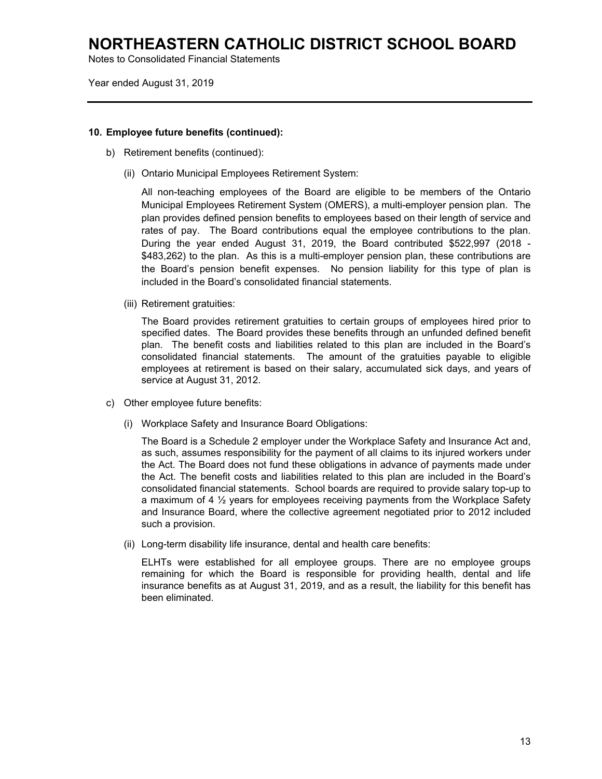Notes to Consolidated Financial Statements

Year ended August 31, 2019

### **10. Employee future benefits (continued):**

- b) Retirement benefits (continued):
	- (ii) Ontario Municipal Employees Retirement System:

All non-teaching employees of the Board are eligible to be members of the Ontario Municipal Employees Retirement System (OMERS), a multi-employer pension plan. The plan provides defined pension benefits to employees based on their length of service and rates of pay. The Board contributions equal the employee contributions to the plan. During the year ended August 31, 2019, the Board contributed \$522,997 (2018 - \$483,262) to the plan. As this is a multi-employer pension plan, these contributions are the Board's pension benefit expenses. No pension liability for this type of plan is included in the Board's consolidated financial statements.

(iii) Retirement gratuities:

The Board provides retirement gratuities to certain groups of employees hired prior to specified dates. The Board provides these benefits through an unfunded defined benefit plan. The benefit costs and liabilities related to this plan are included in the Board's consolidated financial statements. The amount of the gratuities payable to eligible employees at retirement is based on their salary, accumulated sick days, and years of service at August 31, 2012.

- c) Other employee future benefits:
	- (i) Workplace Safety and Insurance Board Obligations:

The Board is a Schedule 2 employer under the Workplace Safety and Insurance Act and, as such, assumes responsibility for the payment of all claims to its injured workers under the Act. The Board does not fund these obligations in advance of payments made under the Act. The benefit costs and liabilities related to this plan are included in the Board's consolidated financial statements. School boards are required to provide salary top-up to a maximum of 4  $\frac{1}{2}$  years for employees receiving payments from the Workplace Safety and Insurance Board, where the collective agreement negotiated prior to 2012 included such a provision.

(ii) Long-term disability life insurance, dental and health care benefits:

ELHTs were established for all employee groups. There are no employee groups remaining for which the Board is responsible for providing health, dental and life insurance benefits as at August 31, 2019, and as a result, the liability for this benefit has been eliminated.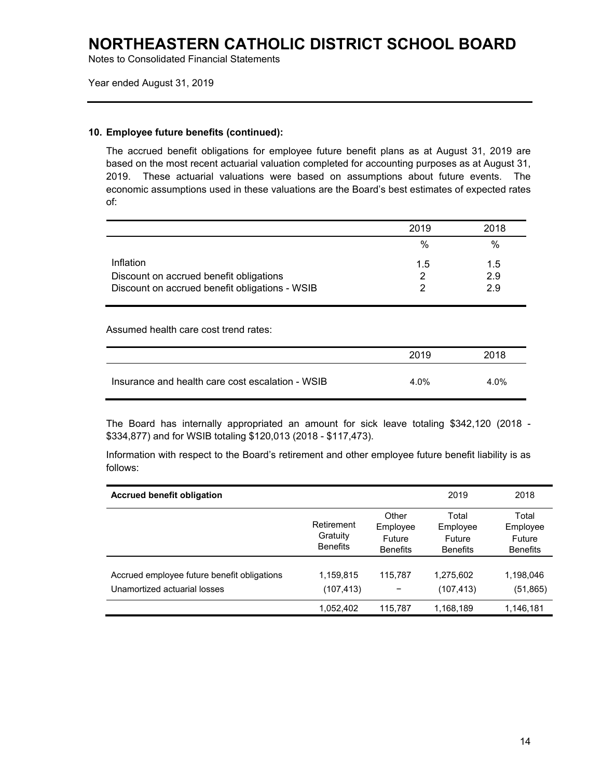Notes to Consolidated Financial Statements

Year ended August 31, 2019

#### **10. Employee future benefits (continued):**

The accrued benefit obligations for employee future benefit plans as at August 31, 2019 are based on the most recent actuarial valuation completed for accounting purposes as at August 31, 2019. These actuarial valuations were based on assumptions about future events. The economic assumptions used in these valuations are the Board's best estimates of expected rates of:

|                                                | 2019 | 2018 |
|------------------------------------------------|------|------|
|                                                | %    | %    |
| Inflation                                      | 1.5  | 1.5  |
| Discount on accrued benefit obligations        |      | 2.9  |
| Discount on accrued benefit obligations - WSIB |      | 29   |

Assumed health care cost trend rates:

|                                                  | 2019 | 2018 |
|--------------------------------------------------|------|------|
| Insurance and health care cost escalation - WSIB | 4.0% | 4.0% |

The Board has internally appropriated an amount for sick leave totaling \$342,120 (2018 - \$334,877) and for WSIB totaling \$120,013 (2018 - \$117,473).

Information with respect to the Board's retirement and other employee future benefit liability is as follows:

| <b>Accrued benefit obligation</b>                                           |                                           |                                                | 2019                                           | 2018                                                  |
|-----------------------------------------------------------------------------|-------------------------------------------|------------------------------------------------|------------------------------------------------|-------------------------------------------------------|
|                                                                             | Retirement<br>Gratuity<br><b>Benefits</b> | Other<br>Employee<br>Future<br><b>Benefits</b> | Total<br>Employee<br>Future<br><b>Benefits</b> | Total<br>Employee<br><b>Future</b><br><b>Benefits</b> |
| Accrued employee future benefit obligations<br>Unamortized actuarial losses | 1,159,815<br>(107,413)                    | 115.787                                        | 1,275,602<br>(107, 413)                        | 1,198,046<br>(51,865)                                 |
|                                                                             | 1,052,402                                 | 115,787                                        | 1,168,189                                      | 1,146,181                                             |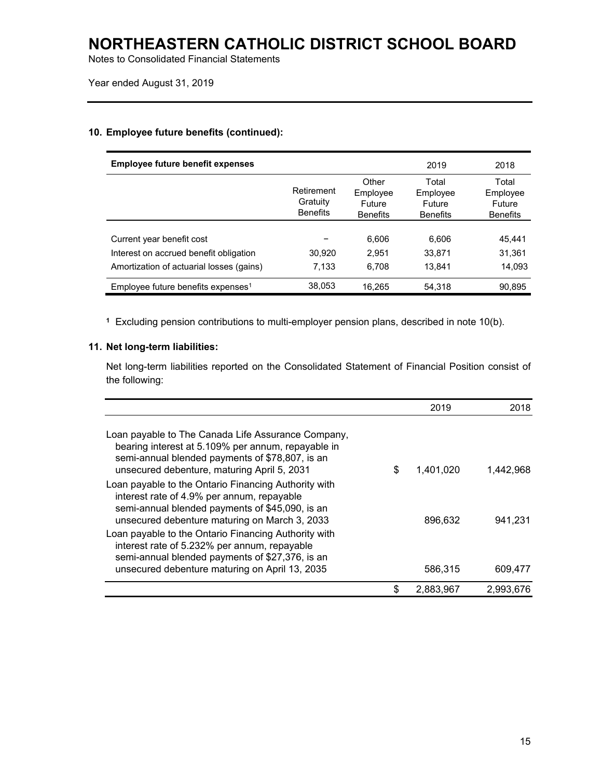Notes to Consolidated Financial Statements

Year ended August 31, 2019

### **10. Employee future benefits (continued):**

| <b>Employee future benefit expenses</b>        |                                           |                                                | 2019                                           | 2018                                           |
|------------------------------------------------|-------------------------------------------|------------------------------------------------|------------------------------------------------|------------------------------------------------|
|                                                | Retirement<br>Gratuity<br><b>Benefits</b> | Other<br>Employee<br>Future<br><b>Benefits</b> | Total<br>Employee<br>Future<br><b>Benefits</b> | Total<br>Employee<br>Future<br><b>Benefits</b> |
|                                                |                                           |                                                |                                                |                                                |
| Current year benefit cost                      |                                           | 6.606                                          | 6.606                                          | 45,441                                         |
| Interest on accrued benefit obligation         | 30,920                                    | 2.951                                          | 33.871                                         | 31,361                                         |
| Amortization of actuarial losses (gains)       | 7.133                                     | 6.708                                          | 13.841                                         | 14,093                                         |
| Employee future benefits expenses <sup>1</sup> | 38,053                                    | 16.265                                         | 54.318                                         | 90,895                                         |

**<sup>1</sup>**Excluding pension contributions to multi-employer pension plans, described in note 10(b).

## **11. Net long-term liabilities:**

Net long-term liabilities reported on the Consolidated Statement of Financial Position consist of the following:

|                                                                                                                                                                                                            | 2019            | 2018      |
|------------------------------------------------------------------------------------------------------------------------------------------------------------------------------------------------------------|-----------------|-----------|
| Loan payable to The Canada Life Assurance Company,<br>bearing interest at 5.109% per annum, repayable in<br>semi-annual blended payments of \$78,807, is an<br>unsecured debenture, maturing April 5, 2031 | \$<br>1,401,020 | 1,442,968 |
| Loan payable to the Ontario Financing Authority with<br>interest rate of 4.9% per annum, repayable<br>semi-annual blended payments of \$45,090, is an<br>unsecured debenture maturing on March 3, 2033     | 896,632         | 941.231   |
| Loan payable to the Ontario Financing Authority with<br>interest rate of 5.232% per annum, repayable<br>semi-annual blended payments of \$27,376, is an<br>unsecured debenture maturing on April 13, 2035  | 586,315         | 609.477   |
|                                                                                                                                                                                                            | 2,883,967       | 2.993.676 |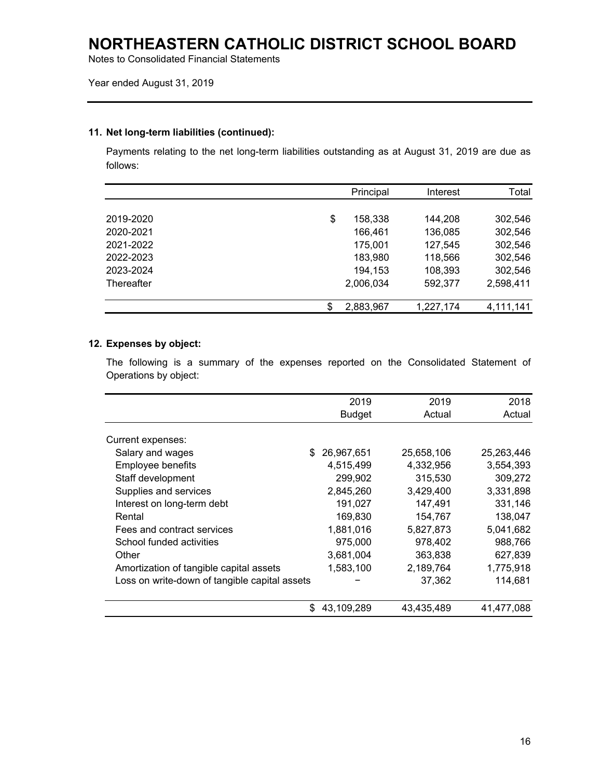Notes to Consolidated Financial Statements

### **11. Net long-term liabilities (continued):**

Payments relating to the net long-term liabilities outstanding as at August 31, 2019 are due as follows:

|            | Principal       | Interest  | Total     |
|------------|-----------------|-----------|-----------|
|            |                 |           |           |
| 2019-2020  | \$<br>158,338   | 144,208   | 302,546   |
| 2020-2021  | 166,461         | 136,085   | 302,546   |
| 2021-2022  | 175,001         | 127.545   | 302,546   |
| 2022-2023  | 183,980         | 118,566   | 302,546   |
| 2023-2024  | 194,153         | 108,393   | 302,546   |
| Thereafter | 2,006,034       | 592,377   | 2,598,411 |
|            |                 |           |           |
|            | \$<br>2,883,967 | 1,227,174 | 4,111,141 |

### **12. Expenses by object:**

The following is a summary of the expenses reported on the Consolidated Statement of Operations by object:

|                                               | 2019             | 2019       | 2018       |
|-----------------------------------------------|------------------|------------|------------|
|                                               | <b>Budget</b>    | Actual     | Actual     |
| Current expenses:                             |                  |            |            |
| Salary and wages                              | 26,967,651<br>\$ | 25,658,106 | 25,263,446 |
| Employee benefits                             | 4,515,499        | 4,332,956  | 3,554,393  |
| Staff development                             | 299,902          | 315,530    | 309,272    |
| Supplies and services                         | 2,845,260        | 3,429,400  | 3,331,898  |
| Interest on long-term debt                    | 191,027          | 147,491    | 331,146    |
| Rental                                        | 169,830          | 154,767    | 138,047    |
| Fees and contract services                    | 1,881,016        | 5,827,873  | 5,041,682  |
| School funded activities                      | 975,000          | 978,402    | 988,766    |
| Other                                         | 3,681,004        | 363,838    | 627,839    |
| Amortization of tangible capital assets       | 1,583,100        | 2,189,764  | 1,775,918  |
| Loss on write-down of tangible capital assets |                  | 37,362     | 114,681    |
| \$                                            | 43,109,289       | 43,435,489 | 41,477,088 |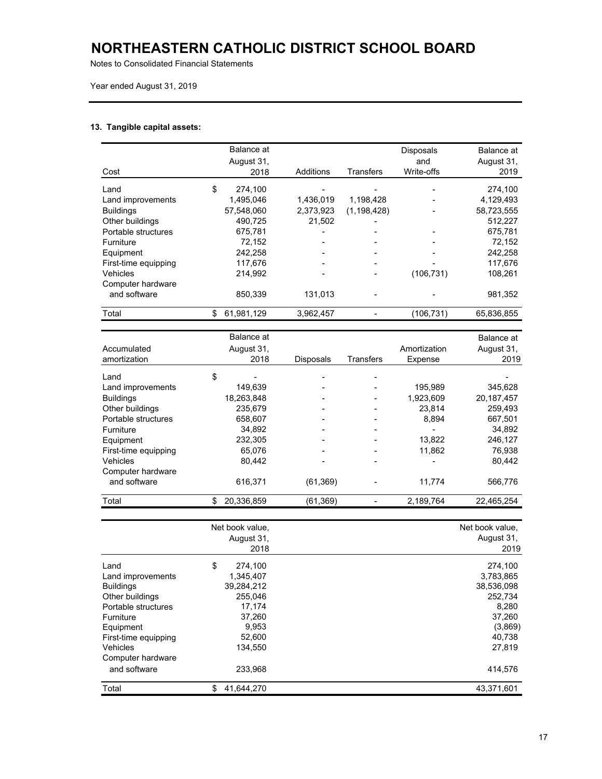Notes to Consolidated Financial Statements

### **13. Tangible capital assets:**

|                      | Balance at       |                  |                              | <b>Disposals</b> | <b>Balance</b> at |
|----------------------|------------------|------------------|------------------------------|------------------|-------------------|
|                      | August 31,       |                  |                              | and              | August 31,        |
| Cost                 | 2018             | <b>Additions</b> | <b>Transfers</b>             | Write-offs       | 2019              |
| Land                 | \$<br>274,100    |                  |                              |                  | 274,100           |
| Land improvements    | 1,495,046        | 1,436,019        | 1,198,428                    |                  | 4,129,493         |
| <b>Buildings</b>     | 57,548,060       | 2,373,923        | (1, 198, 428)                |                  | 58,723,555        |
| Other buildings      | 490,725          | 21,502           |                              |                  | 512,227           |
| Portable structures  | 675,781          |                  |                              |                  | 675,781           |
| Furniture            | 72,152           |                  |                              |                  | 72,152            |
| Equipment            | 242,258          |                  |                              |                  | 242,258           |
| First-time equipping | 117,676          |                  |                              |                  | 117,676           |
| Vehicles             | 214,992          |                  |                              | (106, 731)       | 108,261           |
| Computer hardware    |                  |                  |                              |                  |                   |
| and software         | 850,339          | 131,013          |                              |                  | 981,352           |
| Total                | \$<br>61,981,129 | 3,962,457        | $\overline{\phantom{a}}$     | (106, 731)       | 65,836,855        |
|                      |                  |                  |                              |                  |                   |
|                      |                  |                  |                              |                  |                   |
|                      | Balance at       |                  |                              |                  | Balance at        |
| Accumulated          | August 31,       |                  |                              | Amortization     | August 31,        |
| amortization         | 2018             | <b>Disposals</b> | <b>Transfers</b>             | Expense          | 2019              |
| Land                 | \$               |                  |                              |                  |                   |
| Land improvements    | 149,639          |                  |                              | 195,989          | 345,628           |
| <b>Buildings</b>     | 18,263,848       |                  |                              | 1,923,609        | 20,187,457        |
| Other buildings      | 235,679          |                  |                              | 23,814           | 259,493           |
| Portable structures  | 658,607          |                  |                              | 8,894            | 667,501           |
| Furniture            | 34,892           |                  |                              |                  | 34,892            |
| Equipment            | 232,305          |                  |                              | 13,822           | 246,127           |
| First-time equipping | 65,076           |                  |                              | 11,862           | 76,938            |
| Vehicles             | 80,442           |                  |                              |                  | 80,442            |
| Computer hardware    |                  |                  |                              |                  |                   |
| and software         | 616,371          | (61, 369)        |                              | 11,774           | 566,776           |
| Total                | \$<br>20,336,859 | (61, 369)        | $\qquad \qquad \blacksquare$ | 2,189,764        | 22,465,254        |

|                      | Net book value,<br>August 31,<br>2018 | Net book value,<br>August 31,<br>2019 |
|----------------------|---------------------------------------|---------------------------------------|
| Land                 | \$<br>274,100                         | 274,100                               |
| Land improvements    | 1,345,407                             | 3,783,865                             |
| <b>Buildings</b>     | 39,284,212                            | 38,536,098                            |
| Other buildings      | 255.046                               | 252,734                               |
| Portable structures  | 17,174                                | 8,280                                 |
| Furniture            | 37,260                                | 37,260                                |
| Equipment            | 9,953                                 | (3,869)                               |
| First-time equipping | 52,600                                | 40,738                                |
| Vehicles             | 134,550                               | 27,819                                |
| Computer hardware    |                                       |                                       |
| and software         | 233,968                               | 414,576                               |
| Total                | \$<br>41,644,270                      | 43.371.601                            |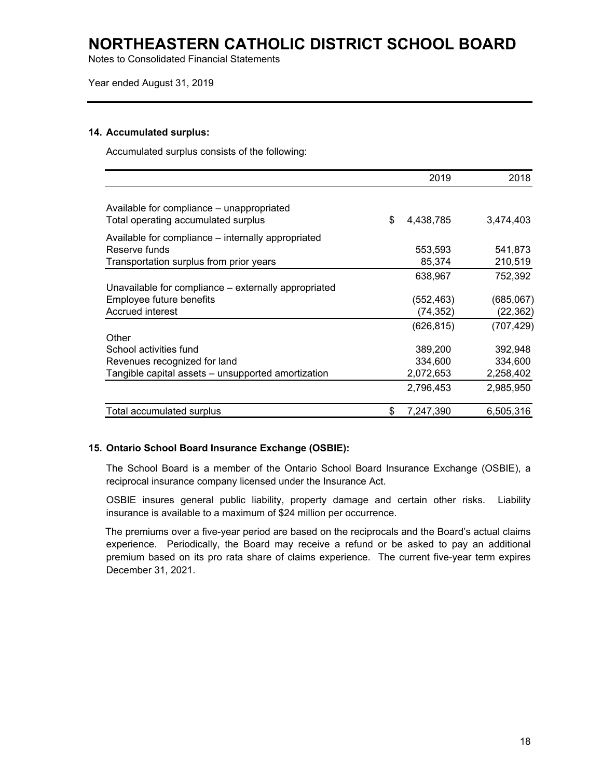Notes to Consolidated Financial Statements

Year ended August 31, 2019

#### **14. Accumulated surplus:**

Accumulated surplus consists of the following:

|                                                                                  | 2019              | 2018               |
|----------------------------------------------------------------------------------|-------------------|--------------------|
| Available for compliance – unappropriated<br>Total operating accumulated surplus | \$<br>4,438,785   | 3,474,403          |
| Available for compliance – internally appropriated                               |                   |                    |
| Reserve funds<br>Transportation surplus from prior years                         | 553,593<br>85,374 | 541,873<br>210,519 |
|                                                                                  | 638,967           | 752,392            |
| Unavailable for compliance - externally appropriated                             |                   |                    |
| Employee future benefits                                                         | (552,463)         | (685,067)          |
| Accrued interest                                                                 | (74,352)          | (22,362)           |
|                                                                                  | (626, 815)        | (707, 429)         |
| Other                                                                            |                   |                    |
| School activities fund                                                           | 389,200           | 392,948            |
| Revenues recognized for land                                                     | 334,600           | 334,600            |
| Tangible capital assets – unsupported amortization                               | 2,072,653         | 2,258,402          |
|                                                                                  | 2,796,453         | 2,985,950          |
| Total accumulated surplus                                                        | \$<br>7,247,390   | 6,505,316          |

### **15. Ontario School Board Insurance Exchange (OSBIE):**

The School Board is a member of the Ontario School Board Insurance Exchange (OSBIE), a reciprocal insurance company licensed under the Insurance Act.

OSBIE insures general public liability, property damage and certain other risks. Liability insurance is available to a maximum of \$24 million per occurrence.

The premiums over a five-year period are based on the reciprocals and the Board's actual claims experience. Periodically, the Board may receive a refund or be asked to pay an additional premium based on its pro rata share of claims experience. The current five-year term expires December 31, 2021.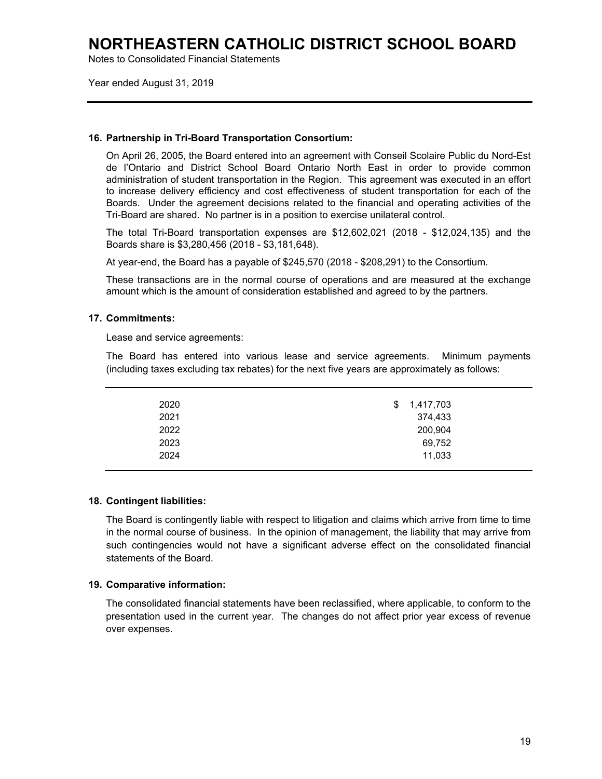Notes to Consolidated Financial Statements

Year ended August 31, 2019

#### **16. Partnership in Tri-Board Transportation Consortium:**

On April 26, 2005, the Board entered into an agreement with Conseil Scolaire Public du Nord-Est de l'Ontario and District School Board Ontario North East in order to provide common administration of student transportation in the Region. This agreement was executed in an effort to increase delivery efficiency and cost effectiveness of student transportation for each of the Boards. Under the agreement decisions related to the financial and operating activities of the Tri-Board are shared. No partner is in a position to exercise unilateral control.

The total Tri-Board transportation expenses are \$12,602,021 (2018 - \$12,024,135) and the Boards share is \$3,280,456 (2018 - \$3,181,648).

At year-end, the Board has a payable of \$245,570 (2018 - \$208,291) to the Consortium.

These transactions are in the normal course of operations and are measured at the exchange amount which is the amount of consideration established and agreed to by the partners.

### **17. Commitments:**

Lease and service agreements:

The Board has entered into various lease and service agreements. Minimum payments (including taxes excluding tax rebates) for the next five years are approximately as follows:

| 2020 | \$1,417,703 |
|------|-------------|
| 2021 | 374,433     |
| 2022 | 200,904     |
| 2023 | 69,752      |
| 2024 | 11,033      |
|      |             |

### **18. Contingent liabilities:**

The Board is contingently liable with respect to litigation and claims which arrive from time to time in the normal course of business. In the opinion of management, the liability that may arrive from such contingencies would not have a significant adverse effect on the consolidated financial statements of the Board.

### **19. Comparative information:**

The consolidated financial statements have been reclassified, where applicable, to conform to the presentation used in the current year. The changes do not affect prior year excess of revenue over expenses.